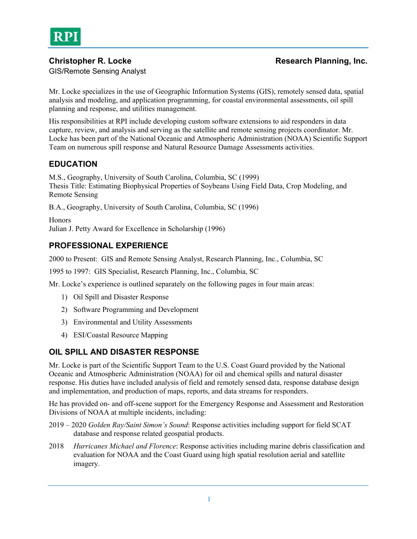

## **Christopher R. Locke Research Planning, Inc. Research Planning, Inc.**

GIS/Remote Sensing Analyst

Mr. Locke specializes in the use of Geographic Information Systems (GIS), remotely sensed data, spatial analysis and modeling, and application programming, for coastal environmental assessments, oil spill planning and response, and utilities management.

His responsibilities at RPI include developing custom software extensions to aid responders in data capture, review, and analysis and serving as the satellite and remote sensing projects coordinator. Mr. Locke has been part of the National Oceanic and Atmospheric Administration (NOAA) Scientific Support Team on numerous spill response and Natural Resource Damage Assessments activities.

# **EDUCATION**

M.S., Geography, University of South Carolina, Columbia, SC (1999) Thesis Title: Estimating Biophysical Properties of Soybeans Using Field Data, Crop Modeling, and Remote Sensing

B.A., Geography, University of South Carolina, Columbia, SC (1996)

Honors Julian J. Petty Award for Excellence in Scholarship (1996)

# **PROFESSIONAL EXPERIENCE**

2000 to Present: GIS and Remote Sensing Analyst, Research Planning, Inc., Columbia, SC

1995 to 1997: GIS Specialist, Research Planning, Inc., Columbia, SC

Mr. Locke's experience is outlined separately on the following pages in four main areas:

- 1) Oil Spill and Disaster Response
- 2) Software Programming and Development
- 3) Environmental and Utility Assessments
- 4) ESI/Coastal Resource Mapping

## **OIL SPILL AND DISASTER RESPONSE**

Mr. Locke is part of the Scientific Support Team to the U.S. Coast Guard provided by the National Oceanic and Atmospheric Administration (NOAA) for oil and chemical spills and natural disaster response. His duties have included analysis of field and remotely sensed data, response database design and implementation, and production of maps, reports, and data streams for responders.

He has provided on- and off-scene support for the Emergency Response and Assessment and Restoration Divisions of NOAA at multiple incidents, including:

- 2019 2020 *Golden Ray/Saint Simon's Sound*: Response activities including support for field SCAT database and response related geospatial products.
- 2018 *Hurricanes Michael and Florence*: Response activities including marine debris classification and evaluation for NOAA and the Coast Guard using high spatial resolution aerial and satellite imagery.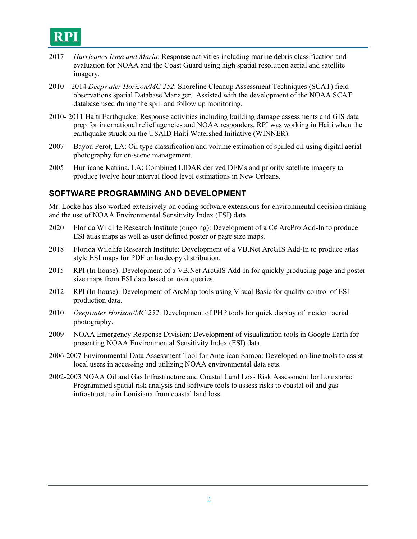

- 2017 *Hurricanes Irma and Maria*: Response activities including marine debris classification and evaluation for NOAA and the Coast Guard using high spatial resolution aerial and satellite imagery.
- 2010 2014 *Deepwater Horizon/MC 252*: Shoreline Cleanup Assessment Techniques (SCAT) field observations spatial Database Manager. Assisted with the development of the NOAA SCAT database used during the spill and follow up monitoring.
- 2010- 2011 Haiti Earthquake: Response activities including building damage assessments and GIS data prep for international relief agencies and NOAA responders. RPI was working in Haiti when the earthquake struck on the USAID Haiti Watershed Initiative (WINNER).
- 2007 Bayou Perot, LA: Oil type classification and volume estimation of spilled oil using digital aerial photography for on-scene management.
- 2005 Hurricane Katrina, LA: Combined LIDAR derived DEMs and priority satellite imagery to produce twelve hour interval flood level estimations in New Orleans.

#### **SOFTWARE PROGRAMMING AND DEVELOPMENT**

Mr. Locke has also worked extensively on coding software extensions for environmental decision making and the use of NOAA Environmental Sensitivity Index (ESI) data.

- 2020 Florida Wildlife Research Institute (ongoing): Development of a C# ArcPro Add-In to produce ESI atlas maps as well as user defined poster or page size maps.
- 2018 Florida Wildlife Research Institute: Development of a VB.Net ArcGIS Add-In to produce atlas style ESI maps for PDF or hardcopy distribution.
- 2015 RPI (In-house): Development of a VB.Net ArcGIS Add-In for quickly producing page and poster size maps from ESI data based on user queries.
- 2012 RPI (In-house): Development of ArcMap tools using Visual Basic for quality control of ESI production data.
- 2010 *Deepwater Horizon/MC 252*: Development of PHP tools for quick display of incident aerial photography.
- 2009 NOAA Emergency Response Division: Development of visualization tools in Google Earth for presenting NOAA Environmental Sensitivity Index (ESI) data.
- 2006-2007 Environmental Data Assessment Tool for American Samoa: Developed on-line tools to assist local users in accessing and utilizing NOAA environmental data sets.
- 2002-2003 NOAA Oil and Gas Infrastructure and Coastal Land Loss Risk Assessment for Louisiana: Programmed spatial risk analysis and software tools to assess risks to coastal oil and gas infrastructure in Louisiana from coastal land loss.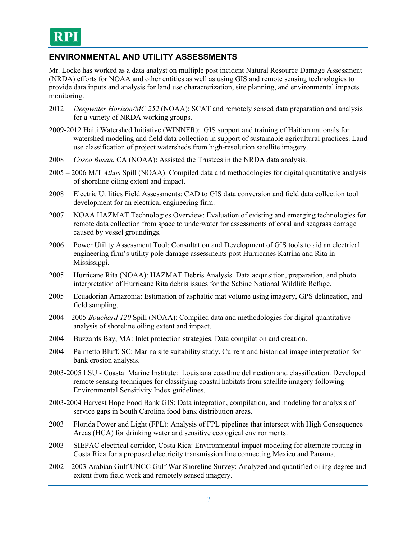## **ENVIRONMENTAL AND UTILITY ASSESSMENTS**

Mr. Locke has worked as a data analyst on multiple post incident Natural Resource Damage Assessment (NRDA) efforts for NOAA and other entities as well as using GIS and remote sensing technologies to provide data inputs and analysis for land use characterization, site planning, and environmental impacts monitoring.

- 2012 *Deepwater Horizon/MC 252* (NOAA): SCAT and remotely sensed data preparation and analysis for a variety of NRDA working groups.
- 2009-2012 Haiti Watershed Initiative (WINNER): GIS support and training of Haitian nationals for watershed modeling and field data collection in support of sustainable agricultural practices. Land use classification of project watersheds from high-resolution satellite imagery.
- 2008 *Cosco Busan*, CA (NOAA): Assisted the Trustees in the NRDA data analysis.
- 2005 2006 M/T *Athos* Spill (NOAA): Compiled data and methodologies for digital quantitative analysis of shoreline oiling extent and impact.
- 2008 Electric Utilities Field Assessments: CAD to GIS data conversion and field data collection tool development for an electrical engineering firm.
- 2007 NOAA HAZMAT Technologies Overview: Evaluation of existing and emerging technologies for remote data collection from space to underwater for assessments of coral and seagrass damage caused by vessel groundings.
- 2006 Power Utility Assessment Tool: Consultation and Development of GIS tools to aid an electrical engineering firm's utility pole damage assessments post Hurricanes Katrina and Rita in Mississippi.
- 2005 Hurricane Rita (NOAA): HAZMAT Debris Analysis. Data acquisition, preparation, and photo interpretation of Hurricane Rita debris issues for the Sabine National Wildlife Refuge.
- 2005 Ecuadorian Amazonia: Estimation of asphaltic mat volume using imagery, GPS delineation, and field sampling.
- 2004 2005 *Bouchard 120* Spill (NOAA): Compiled data and methodologies for digital quantitative analysis of shoreline oiling extent and impact.
- 2004 Buzzards Bay, MA: Inlet protection strategies. Data compilation and creation.
- 2004 Palmetto Bluff, SC: Marina site suitability study. Current and historical image interpretation for bank erosion analysis.
- 2003-2005 LSU Coastal Marine Institute: Louisiana coastline delineation and classification. Developed remote sensing techniques for classifying coastal habitats from satellite imagery following Environmental Sensitivity Index guidelines.
- 2003-2004 Harvest Hope Food Bank GIS: Data integration, compilation, and modeling for analysis of service gaps in South Carolina food bank distribution areas.
- 2003 Florida Power and Light (FPL): Analysis of FPL pipelines that intersect with High Consequence Areas (HCA) for drinking water and sensitive ecological environments.
- 2003 SIEPAC electrical corridor, Costa Rica: Environmental impact modeling for alternate routing in Costa Rica for a proposed electricity transmission line connecting Mexico and Panama.
- 2002 2003 Arabian Gulf UNCC Gulf War Shoreline Survey: Analyzed and quantified oiling degree and extent from field work and remotely sensed imagery.